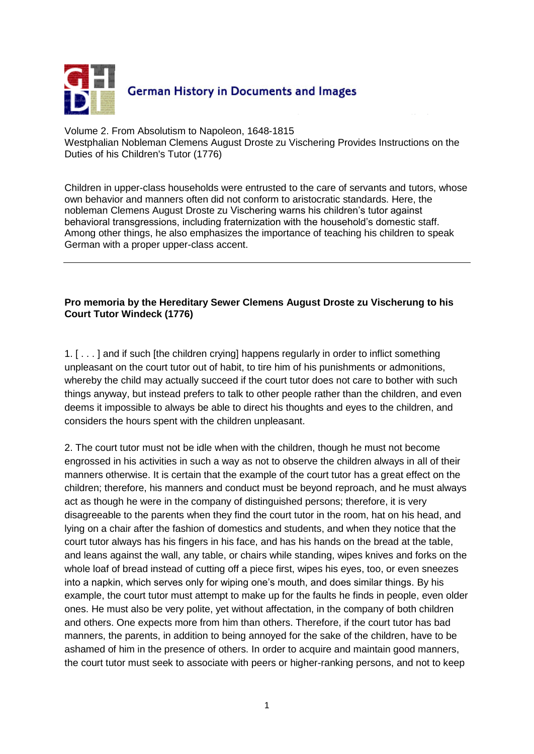

Volume 2. From Absolutism to Napoleon, 1648-1815 Westphalian Nobleman Clemens August Droste zu Vischering Provides Instructions on the Duties of his Children's Tutor (1776)

Children in upper-class households were entrusted to the care of servants and tutors, whose own behavior and manners often did not conform to aristocratic standards. Here, the nobleman Clemens August Droste zu Vischering warns his children's tutor against behavioral transgressions, including fraternization with the household's domestic staff. Among other things, he also emphasizes the importance of teaching his children to speak German with a proper upper-class accent.

## **Pro memoria by the Hereditary Sewer Clemens August Droste zu Vischerung to his Court Tutor Windeck (1776)**

1. [ . . . ] and if such [the children crying] happens regularly in order to inflict something unpleasant on the court tutor out of habit, to tire him of his punishments or admonitions, whereby the child may actually succeed if the court tutor does not care to bother with such things anyway, but instead prefers to talk to other people rather than the children, and even deems it impossible to always be able to direct his thoughts and eyes to the children, and considers the hours spent with the children unpleasant.

2. The court tutor must not be idle when with the children, though he must not become engrossed in his activities in such a way as not to observe the children always in all of their manners otherwise. It is certain that the example of the court tutor has a great effect on the children; therefore, his manners and conduct must be beyond reproach, and he must always act as though he were in the company of distinguished persons; therefore, it is very disagreeable to the parents when they find the court tutor in the room, hat on his head, and lying on a chair after the fashion of domestics and students, and when they notice that the court tutor always has his fingers in his face, and has his hands on the bread at the table, and leans against the wall, any table, or chairs while standing, wipes knives and forks on the whole loaf of bread instead of cutting off a piece first, wipes his eyes, too, or even sneezes into a napkin, which serves only for wiping one's mouth, and does similar things. By his example, the court tutor must attempt to make up for the faults he finds in people, even older ones. He must also be very polite, yet without affectation, in the company of both children and others. One expects more from him than others. Therefore, if the court tutor has bad manners, the parents, in addition to being annoyed for the sake of the children, have to be ashamed of him in the presence of others. In order to acquire and maintain good manners, the court tutor must seek to associate with peers or higher-ranking persons, and not to keep